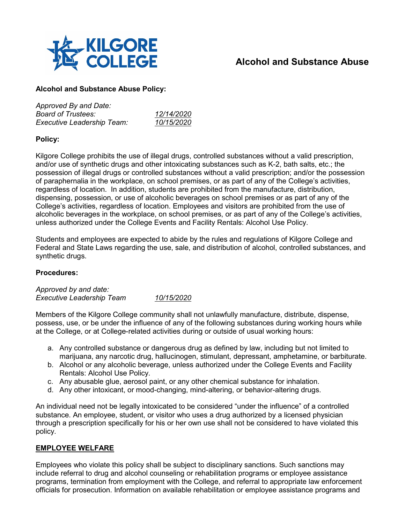

# **Alcohol and Substance Abuse**

## **Alcohol and Substance Abuse Policy:**

| Approved By and Date:             |                   |
|-----------------------------------|-------------------|
| <b>Board of Trustees:</b>         | 12/14/2020        |
| <b>Executive Leadership Team:</b> | <i>10/15/2020</i> |

## **Policy:**

Kilgore College prohibits the use of illegal drugs, controlled substances without a valid prescription, and/or use of synthetic drugs and other intoxicating substances such as K-2, bath salts, etc.; the possession of illegal drugs or controlled substances without a valid prescription; and/or the possession of paraphernalia in the workplace, on school premises, or as part of any of the College's activities, regardless of location. In addition, students are prohibited from the manufacture, distribution, dispensing, possession, or use of alcoholic beverages on school premises or as part of any of the College's activities, regardless of location. Employees and visitors are prohibited from the use of alcoholic beverages in the workplace, on school premises, or as part of any of the College's activities, unless authorized under the College Events and Facility Rentals: Alcohol Use Policy.

Students and employees are expected to abide by the rules and regulations of Kilgore College and Federal and State Laws regarding the use, sale, and distribution of alcohol, controlled substances, and synthetic drugs.

## **Procedures:**

*Approved by and date: Executive Leadership Team 10/15/2020*

Members of the Kilgore College community shall not unlawfully manufacture, distribute, dispense, possess, use, or be under the influence of any of the following substances during working hours while at the College, or at College-related activities during or outside of usual working hours:

- a. Any controlled substance or dangerous drug as defined by law, including but not limited to marijuana, any narcotic drug, hallucinogen, stimulant, depressant, amphetamine, or barbiturate.
- b. Alcohol or any alcoholic beverage, unless authorized under the College Events and Facility Rentals: Alcohol Use Policy.
- c. Any abusable glue, aerosol paint, or any other chemical substance for inhalation.
- d. Any other intoxicant, or mood-changing, mind-altering, or behavior-altering drugs.

An individual need not be legally intoxicated to be considered "under the influence" of a controlled substance. An employee, student, or visitor who uses a drug authorized by a licensed physician through a prescription specifically for his or her own use shall not be considered to have violated this policy.

## **EMPLOYEE WELFARE**

Employees who violate this policy shall be subject to disciplinary sanctions. Such sanctions may include referral to drug and alcohol counseling or rehabilitation programs or employee assistance programs, termination from employment with the College, and referral to appropriate law enforcement officials for prosecution. Information on available rehabilitation or employee assistance programs and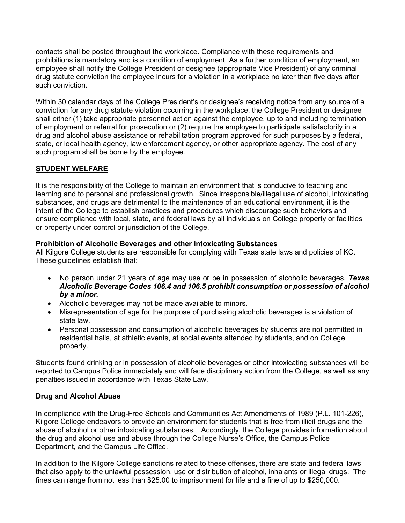contacts shall be posted throughout the workplace. Compliance with these requirements and prohibitions is mandatory and is a condition of employment. As a further condition of employment, an employee shall notify the College President or designee (appropriate Vice President) of any criminal drug statute conviction the employee incurs for a violation in a workplace no later than five days after such conviction.

Within 30 calendar days of the College President's or designee's receiving notice from any source of a conviction for any drug statute violation occurring in the workplace, the College President or designee shall either (1) take appropriate personnel action against the employee, up to and including termination of employment or referral for prosecution or (2) require the employee to participate satisfactorily in a drug and alcohol abuse assistance or rehabilitation program approved for such purposes by a federal, state, or local health agency, law enforcement agency, or other appropriate agency. The cost of any such program shall be borne by the employee.

# **STUDENT WELFARE**

It is the responsibility of the College to maintain an environment that is conducive to teaching and learning and to personal and professional growth. Since irresponsible/illegal use of alcohol, intoxicating substances, and drugs are detrimental to the maintenance of an educational environment, it is the intent of the College to establish practices and procedures which discourage such behaviors and ensure compliance with local, state, and federal laws by all individuals on College property or facilities or property under control or jurisdiction of the College.

#### **Prohibition of Alcoholic Beverages and other Intoxicating Substances**

All Kilgore College students are responsible for complying with Texas state laws and policies of KC. These guidelines establish that:

- No person under 21 years of age may use or be in possession of alcoholic beverages. *Texas Alcoholic Beverage Codes 106.4 and 106.5 prohibit consumption or possession of alcohol by a minor.*
- Alcoholic beverages may not be made available to minors.
- Misrepresentation of age for the purpose of purchasing alcoholic beverages is a violation of state law.
- Personal possession and consumption of alcoholic beverages by students are not permitted in residential halls, at athletic events, at social events attended by students, and on College property.

Students found drinking or in possession of alcoholic beverages or other intoxicating substances will be reported to Campus Police immediately and will face disciplinary action from the College, as well as any penalties issued in accordance with Texas State Law.

## **Drug and Alcohol Abuse**

In compliance with the Drug-Free Schools and Communities Act Amendments of 1989 (P.L. 101-226), Kilgore College endeavors to provide an environment for students that is free from illicit drugs and the abuse of alcohol or other intoxicating substances. Accordingly, the College provides information about the drug and alcohol use and abuse through the College Nurse's Office, the Campus Police Department, and the Campus Life Office.

In addition to the Kilgore College sanctions related to these offenses, there are state and federal laws that also apply to the unlawful possession, use or distribution of alcohol, inhalants or illegal drugs. The fines can range from not less than \$25.00 to imprisonment for life and a fine of up to \$250,000.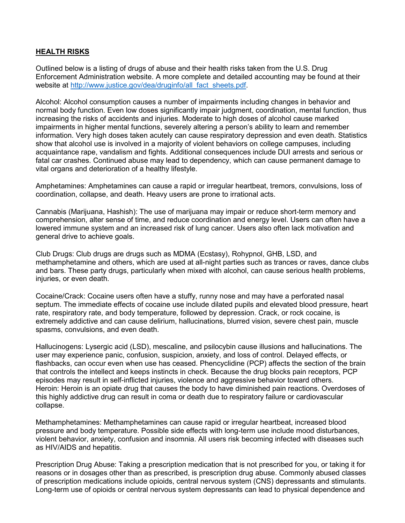## **HEALTH RISKS**

Outlined below is a listing of drugs of abuse and their health risks taken from the U.S. Drug Enforcement Administration website. A more complete and detailed accounting may be found at their website at [http://www.justice.gov/dea/druginfo/all\\_fact\\_sheets.pdf.](http://www.justice.gov/dea/druginfo/all_fact_sheets.pdf)

Alcohol: Alcohol consumption causes a number of impairments including changes in behavior and normal body function. Even low doses significantly impair judgment, coordination, mental function, thus increasing the risks of accidents and injuries. Moderate to high doses of alcohol cause marked impairments in higher mental functions, severely altering a person's ability to learn and remember information. Very high doses taken acutely can cause respiratory depression and even death. Statistics show that alcohol use is involved in a majority of violent behaviors on college campuses, including acquaintance rape, vandalism and fights. Additional consequences include DUI arrests and serious or fatal car crashes. Continued abuse may lead to dependency, which can cause permanent damage to vital organs and deterioration of a healthy lifestyle.

Amphetamines: Amphetamines can cause a rapid or irregular heartbeat, tremors, convulsions, loss of coordination, collapse, and death. Heavy users are prone to irrational acts.

Cannabis (Marijuana, Hashish): The use of marijuana may impair or reduce short-term memory and comprehension, alter sense of time, and reduce coordination and energy level. Users can often have a lowered immune system and an increased risk of lung cancer. Users also often lack motivation and general drive to achieve goals.

Club Drugs: Club drugs are drugs such as MDMA (Ecstasy), Rohypnol, GHB, LSD, and methamphetamine and others, which are used at all-night parties such as trances or raves, dance clubs and bars. These party drugs, particularly when mixed with alcohol, can cause serious health problems, injuries, or even death.

Cocaine/Crack: Cocaine users often have a stuffy, runny nose and may have a perforated nasal septum. The immediate effects of cocaine use include dilated pupils and elevated blood pressure, heart rate, respiratory rate, and body temperature, followed by depression. Crack, or rock cocaine, is extremely addictive and can cause delirium, hallucinations, blurred vision, severe chest pain, muscle spasms, convulsions, and even death.

Hallucinogens: Lysergic acid (LSD), mescaline, and psilocybin cause illusions and hallucinations. The user may experience panic, confusion, suspicion, anxiety, and loss of control. Delayed effects, or flashbacks, can occur even when use has ceased. Phencyclidine (PCP) affects the section of the brain that controls the intellect and keeps instincts in check. Because the drug blocks pain receptors, PCP episodes may result in self-inflicted injuries, violence and aggressive behavior toward others. Heroin: Heroin is an opiate drug that causes the body to have diminished pain reactions. Overdoses of this highly addictive drug can result in coma or death due to respiratory failure or cardiovascular collapse.

Methamphetamines: Methamphetamines can cause rapid or irregular heartbeat, increased blood pressure and body temperature. Possible side effects with long-term use include mood disturbances, violent behavior, anxiety, confusion and insomnia. All users risk becoming infected with diseases such as HIV/AIDS and hepatitis.

Prescription Drug Abuse: Taking a prescription medication that is not prescribed for you, or taking it for reasons or in dosages other than as prescribed, is prescription drug abuse. Commonly abused classes of prescription medications include opioids, central nervous system (CNS) depressants and stimulants. Long-term use of opioids or central nervous system depressants can lead to physical dependence and